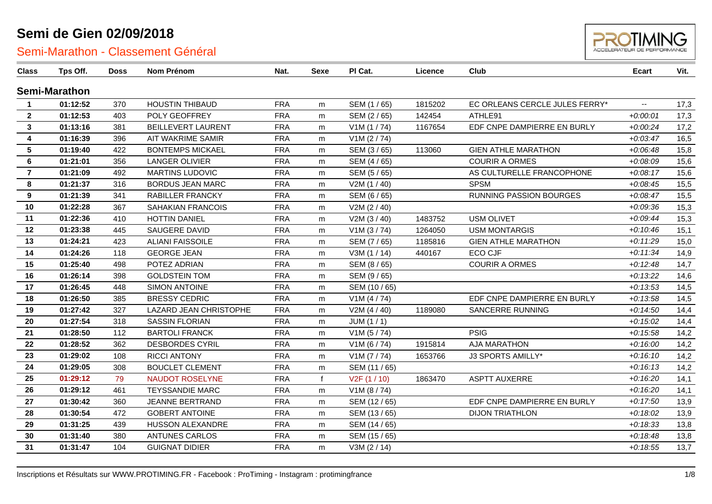

| <b>Class</b>     | Tps Off.      | <b>Doss</b> | Nom Prénom                | Nat.       | <b>Sexe</b> | PI Cat.                   | Licence | Club                           | <b>Ecart</b> | Vit. |
|------------------|---------------|-------------|---------------------------|------------|-------------|---------------------------|---------|--------------------------------|--------------|------|
|                  | Semi-Marathon |             |                           |            |             |                           |         |                                |              |      |
| $\mathbf{1}$     | 01:12:52      | 370         | <b>HOUSTIN THIBAUD</b>    | <b>FRA</b> | m           | SEM (1/65)                | 1815202 | EC ORLEANS CERCLE JULES FERRY* | --           | 17,3 |
| $\mathbf{2}$     | 01:12:53      | 403         | POLY GEOFFREY             | <b>FRA</b> | m           | SEM (2/65)                | 142454  | ATHLE91                        | $+0:00:01$   | 17,3 |
| 3                | 01:13:16      | 381         | <b>BEILLEVERT LAURENT</b> | <b>FRA</b> | m           | V1M(1/74)                 | 1167654 | EDF CNPE DAMPIERRE EN BURLY    | $+0.00:24$   | 17,2 |
| 4                | 01:16:39      | 396         | AIT WAKRIME SAMIR         | <b>FRA</b> | m           | V1M (2 / 74)              |         |                                | $+0.03:47$   | 16,5 |
| $5\phantom{.0}$  | 01:19:40      | 422         | <b>BONTEMPS MICKAEL</b>   | <b>FRA</b> | m           | SEM (3/65)                | 113060  | <b>GIEN ATHLE MARATHON</b>     | $+0.06:48$   | 15,8 |
| 6                | 01:21:01      | 356         | <b>LANGER OLIVIER</b>     | <b>FRA</b> | m           | SEM (4/65)                |         | <b>COURIR A ORMES</b>          | $+0.08.09$   | 15,6 |
| $\overline{7}$   | 01:21:09      | 492         | <b>MARTINS LUDOVIC</b>    | <b>FRA</b> | m           | SEM (5/65)                |         | AS CULTURELLE FRANCOPHONE      | $+0.08:17$   | 15,6 |
| 8                | 01:21:37      | 316         | <b>BORDUS JEAN MARC</b>   | <b>FRA</b> | m           | V2M (1/40)                |         | <b>SPSM</b>                    | $+0.08:45$   | 15,5 |
| $\boldsymbol{9}$ | 01:21:39      | 341         | <b>RABILLER FRANCKY</b>   | <b>FRA</b> | m           | SEM (6 / 65)              |         | <b>RUNNING PASSION BOURGES</b> | $+0.08:47$   | 15,5 |
| 10               | 01:22:28      | 367         | <b>SAHAKIAN FRANCOIS</b>  | <b>FRA</b> | m           | V2M (2 / 40)              |         |                                | $+0.09.36$   | 15,3 |
| 11               | 01:22:36      | 410         | <b>HOTTIN DANIEL</b>      | <b>FRA</b> | m           | V2M (3 / 40)              | 1483752 | <b>USM OLIVET</b>              | $+0.09:44$   | 15,3 |
| 12               | 01:23:38      | 445         | SAUGERE DAVID             | <b>FRA</b> | m           | V1M(3/74)                 | 1264050 | <b>USM MONTARGIS</b>           | $+0:10:46$   | 15,1 |
| 13               | 01:24:21      | 423         | <b>ALIANI FAISSOILE</b>   | <b>FRA</b> | m           | SEM (7 / 65)              | 1185816 | <b>GIEN ATHLE MARATHON</b>     | $+0:11:29$   | 15,0 |
| 14               | 01:24:26      | 118         | <b>GEORGE JEAN</b>        | <b>FRA</b> | m           | V3M(1/14)                 | 440167  | ECO CJF                        | $+0:11:34$   | 14,9 |
| 15               | 01:25:40      | 498         | POTEZ ADRIAN              | <b>FRA</b> | m           | SEM (8/65)                |         | <b>COURIR A ORMES</b>          | $+0:12:48$   | 14,7 |
| 16               | 01:26:14      | 398         | <b>GOLDSTEIN TOM</b>      | <b>FRA</b> | m           | SEM (9/65)                |         |                                | $+0:13:22$   | 14,6 |
| 17               | 01:26:45      | 448         | SIMON ANTOINE             | <b>FRA</b> | m           | SEM (10 / 65)             |         |                                | $+0:13:53$   | 14,5 |
| 18               | 01:26:50      | 385         | <b>BRESSY CEDRIC</b>      | <b>FRA</b> | m           | V1M(4/74)                 |         | EDF CNPE DAMPIERRE EN BURLY    | $+0:13:58$   | 14,5 |
| 19               | 01:27:42      | 327         | LAZARD JEAN CHRISTOPHE    | <b>FRA</b> | m           | V2M (4 / 40)              | 1189080 | SANCERRE RUNNING               | $+0:14:50$   | 14,4 |
| 20               | 01:27:54      | 318         | <b>SASSIN FLORIAN</b>     | <b>FRA</b> | m           | JUM(1/1)                  |         |                                | $+0:15:02$   | 14,4 |
| 21               | 01:28:50      | 112         | <b>BARTOLI FRANCK</b>     | <b>FRA</b> | m           | V1M(5/74)                 |         | <b>PSIG</b>                    | $+0:15:58$   | 14,2 |
| 22               | 01:28:52      | 362         | <b>DESBORDES CYRIL</b>    | <b>FRA</b> | m           | V1M (6 / 74)              | 1915814 | <b>AJA MARATHON</b>            | $+0.16:00$   | 14,2 |
| 23               | 01:29:02      | 108         | <b>RICCI ANTONY</b>       | <b>FRA</b> | m           | V1M (7 / 74)              | 1653766 | J3 SPORTS AMILLY*              | $+0:16:10$   | 14,2 |
| 24               | 01:29:05      | 308         | <b>BOUCLET CLEMENT</b>    | <b>FRA</b> | m           | SEM (11 / 65)             |         |                                | $+0:16:13$   | 14,2 |
| 25               | 01:29:12      | 79          | <b>NAUDOT ROSELYNE</b>    | <b>FRA</b> | $\mathbf f$ | V <sub>2</sub> F (1 / 10) | 1863470 | <b>ASPTT AUXERRE</b>           | $+0:16:20$   | 14,1 |
| 26               | 01:29:12      | 461         | <b>TEYSSANDIE MARC</b>    | <b>FRA</b> | m           | V1M (8 / 74)              |         |                                | $+0:16:20$   | 14,1 |
| 27               | 01:30:42      | 360         | JEANNE BERTRAND           | <b>FRA</b> | m           | SEM (12 / 65)             |         | EDF CNPE DAMPIERRE EN BURLY    | $+0:17:50$   | 13,9 |
| 28               | 01:30:54      | 472         | <b>GOBERT ANTOINE</b>     | <b>FRA</b> | m           | SEM (13/65)               |         | <b>DIJON TRIATHLON</b>         | $+0.18:02$   | 13,9 |
| 29               | 01:31:25      | 439         | <b>HUSSON ALEXANDRE</b>   | <b>FRA</b> | m           | SEM (14 / 65)             |         |                                | $+0.18.33$   | 13,8 |
| 30               | 01:31:40      | 380         | <b>ANTUNES CARLOS</b>     | <b>FRA</b> | m           | SEM (15 / 65)             |         |                                | $+0.18:48$   | 13,8 |
| 31               | 01:31:47      | 104         | <b>GUIGNAT DIDIER</b>     | <b>FRA</b> | m           | V3M (2 / 14)              |         |                                | $+0.18.55$   | 13,7 |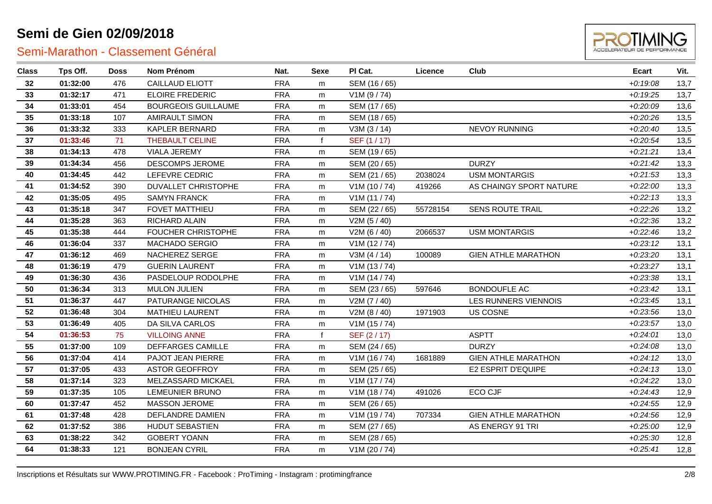

| <b>Class</b> | Tps Off. | <b>Doss</b> | <b>Nom Prénom</b>          | Nat.       | Sexe         | PI Cat.       | Licence  | <b>Club</b>                | <b>Ecart</b> | Vit. |
|--------------|----------|-------------|----------------------------|------------|--------------|---------------|----------|----------------------------|--------------|------|
| 32           | 01:32:00 | 476         | <b>CAILLAUD ELIOTT</b>     | <b>FRA</b> | m            | SEM (16 / 65) |          |                            | $+0.19.08$   | 13,7 |
| 33           | 01:32:17 | 471         | <b>ELOIRE FREDERIC</b>     | <b>FRA</b> | m            | V1M (9 / 74)  |          |                            | $+0:19:25$   | 13,7 |
| 34           | 01:33:01 | 454         | <b>BOURGEOIS GUILLAUME</b> | <b>FRA</b> | m            | SEM (17 / 65) |          |                            | $+0.20:09$   | 13,6 |
| 35           | 01:33:18 | 107         | <b>AMIRAULT SIMON</b>      | <b>FRA</b> | m            | SEM (18 / 65) |          |                            | $+0.20.26$   | 13,5 |
| 36           | 01:33:32 | 333         | <b>KAPLER BERNARD</b>      | <b>FRA</b> | m            | V3M(3/14)     |          | <b>NEVOY RUNNING</b>       | $+0.20:40$   | 13,5 |
| 37           | 01:33:46 | 71          | <b>THEBAULT CELINE</b>     | <b>FRA</b> | $\mathbf{f}$ | SEF (1 / 17)  |          |                            | $+0.20.54$   | 13,5 |
| 38           | 01:34:13 | 478         | <b>VIALA JEREMY</b>        | <b>FRA</b> | m            | SEM (19 / 65) |          |                            | $+0:21:21$   | 13,4 |
| 39           | 01:34:34 | 456         | DESCOMPS JEROME            | <b>FRA</b> | m            | SEM (20 / 65) |          | <b>DURZY</b>               | $+0.21:42$   | 13,3 |
| 40           | 01:34:45 | 442         | LEFEVRE CEDRIC             | <b>FRA</b> | m            | SEM (21 / 65) | 2038024  | <b>USM MONTARGIS</b>       | $+0.21.53$   | 13,3 |
| 41           | 01:34:52 | 390         | DUVALLET CHRISTOPHE        | <b>FRA</b> | m            | V1M(10/74)    | 419266   | AS CHAINGY SPORT NATURE    | $+0.22:00$   | 13,3 |
| 42           | 01:35:05 | 495         | <b>SAMYN FRANCK</b>        | <b>FRA</b> | m            | V1M(11/74)    |          |                            | $+0.22:13$   | 13,3 |
| 43           | 01:35:18 | 347         | FOVET MATTHIEU             | <b>FRA</b> | m            | SEM (22 / 65) | 55728154 | <b>SENS ROUTE TRAIL</b>    | $+0.22.26$   | 13,2 |
| 44           | 01:35:28 | 363         | RICHARD ALAIN              | <b>FRA</b> | m            | V2M(5/40)     |          |                            | $+0.22.36$   | 13,2 |
| 45           | 01:35:38 | 444         | <b>FOUCHER CHRISTOPHE</b>  | <b>FRA</b> | m            | V2M(6/40)     | 2066537  | <b>USM MONTARGIS</b>       | $+0.22:46$   | 13,2 |
| 46           | 01:36:04 | 337         | MACHADO SERGIO             | <b>FRA</b> | m            | V1M(12/74)    |          |                            | $+0.23:12$   | 13,1 |
| 47           | 01:36:12 | 469         | NACHEREZ SERGE             | <b>FRA</b> | m            | V3M (4 / 14)  | 100089   | <b>GIEN ATHLE MARATHON</b> | $+0.23.20$   | 13,1 |
| 48           | 01:36:19 | 479         | <b>GUERIN LAURENT</b>      | <b>FRA</b> | m            | V1M(13/74)    |          |                            | $+0.23.27$   | 13,1 |
| 49           | 01:36:30 | 436         | PASDELOUP RODOLPHE         | <b>FRA</b> | m            | V1M(14/74)    |          |                            | $+0.23.38$   | 13,1 |
| 50           | 01:36:34 | 313         | <b>MULON JULIEN</b>        | <b>FRA</b> | m            | SEM (23 / 65) | 597646   | <b>BONDOUFLE AC</b>        | $+0.23:42$   | 13,1 |
| 51           | 01:36:37 | 447         | PATURANGE NICOLAS          | <b>FRA</b> | m            | V2M (7 / 40)  |          | LES RUNNERS VIENNOIS       | $+0.23:45$   | 13,1 |
| 52           | 01:36:48 | 304         | <b>MATHIEU LAURENT</b>     | <b>FRA</b> | m            | V2M (8 / 40)  | 1971903  | US COSNE                   | $+0.23.56$   | 13,0 |
| 53           | 01:36:49 | 405         | DA SILVA CARLOS            | <b>FRA</b> | m            | V1M(15/74)    |          |                            | $+0.23.57$   | 13,0 |
| 54           | 01:36:53 | 75          | <b>VILLOING ANNE</b>       | <b>FRA</b> | $\mathbf{f}$ | SEF (2/17)    |          | <b>ASPTT</b>               | $+0.24:01$   | 13,0 |
| 55           | 01:37:00 | 109         | <b>DEFFARGES CAMILLE</b>   | <b>FRA</b> | m            | SEM (24 / 65) |          | <b>DURZY</b>               | $+0.24.08$   | 13,0 |
| 56           | 01:37:04 | 414         | PAJOT JEAN PIERRE          | <b>FRA</b> | m            | V1M(16/74)    | 1681889  | <b>GIEN ATHLE MARATHON</b> | $+0:24:12$   | 13,0 |
| 57           | 01:37:05 | 433         | <b>ASTOR GEOFFROY</b>      | <b>FRA</b> | m            | SEM (25 / 65) |          | E2 ESPRIT D'EQUIPE         | $+0.24:13$   | 13,0 |
| 58           | 01:37:14 | 323         | MELZASSARD MICKAEL         | <b>FRA</b> | m            | V1M(17/74)    |          |                            | $+0.24.22$   | 13,0 |
| 59           | 01:37:35 | 105         | LEMEUNIER BRUNO            | <b>FRA</b> | m            | V1M(18/74)    | 491026   | ECO CJF                    | $+0.24:43$   | 12,9 |
| 60           | 01:37:47 | 452         | <b>MASSON JEROME</b>       | <b>FRA</b> | m            | SEM (26 / 65) |          |                            | $+0.24.55$   | 12,9 |
| 61           | 01:37:48 | 428         | DEFLANDRE DAMIEN           | <b>FRA</b> | m            | V1M(19/74)    | 707334   | <b>GIEN ATHLE MARATHON</b> | $+0.24.56$   | 12,9 |
| 62           | 01:37:52 | 386         | HUDUT SEBASTIEN            | <b>FRA</b> | m            | SEM (27 / 65) |          | AS ENERGY 91 TRI           | $+0.25:00$   | 12,9 |
| 63           | 01:38:22 | 342         | <b>GOBERT YOANN</b>        | <b>FRA</b> | m            | SEM (28 / 65) |          |                            | $+0.25.30$   | 12,8 |
| 64           | 01:38:33 | 121         | <b>BONJEAN CYRIL</b>       | <b>FRA</b> | m            | V1M (20 / 74) |          |                            | $+0.25:41$   | 12,8 |
|              |          |             |                            |            |              |               |          |                            |              |      |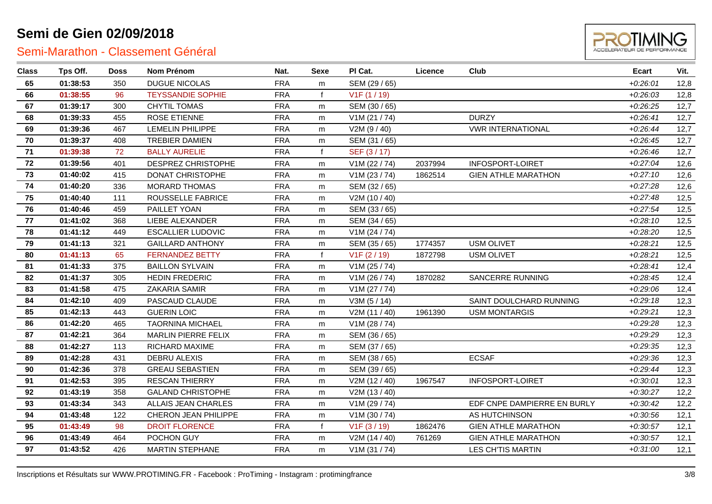

| <b>Class</b> | Tps Off. | <b>Doss</b> | Nom Prénom                 | Nat.       | Sexe        | PI Cat.                   | Licence | Club                        | <b>Ecart</b> | Vit. |
|--------------|----------|-------------|----------------------------|------------|-------------|---------------------------|---------|-----------------------------|--------------|------|
| 65           | 01:38:53 | 350         | <b>DUGUE NICOLAS</b>       | <b>FRA</b> | m           | SEM (29 / 65)             |         |                             | $+0.26:01$   | 12,8 |
| 66           | 01:38:55 | 96          | <b>TEYSSANDIE SOPHIE</b>   | <b>FRA</b> | f           | V <sub>1</sub> F (1 / 19) |         |                             | $+0.26:03$   | 12,8 |
| 67           | 01:39:17 | 300         | <b>CHYTIL TOMAS</b>        | <b>FRA</b> | m           | SEM (30 / 65)             |         |                             | $+0.26.25$   | 12,7 |
| 68           | 01:39:33 | 455         | <b>ROSE ETIENNE</b>        | <b>FRA</b> | m           | V1M (21 / 74)             |         | <b>DURZY</b>                | $+0.26:41$   | 12,7 |
| 69           | 01:39:36 | 467         | <b>LEMELIN PHILIPPE</b>    | <b>FRA</b> | m           | V2M (9 / 40)              |         | <b>VWR INTERNATIONAL</b>    | $+0.26:44$   | 12,7 |
| 70           | 01:39:37 | 408         | TREBIER DAMIEN             | <b>FRA</b> | m           | SEM (31 / 65)             |         |                             | $+0.26:45$   | 12,7 |
| 71           | 01:39:38 | 72          | <b>BALLY AURELIE</b>       | <b>FRA</b> | f           | SEF (3/17)                |         |                             | $+0.26:46$   | 12,7 |
| 72           | 01:39:56 | 401         | DESPREZ CHRISTOPHE         | <b>FRA</b> | m           | V1M (22 / 74)             | 2037994 | INFOSPORT-LOIRET            | $+0.27:04$   | 12,6 |
| 73           | 01:40:02 | 415         | DONAT CHRISTOPHE           | <b>FRA</b> | m           | V1M (23 / 74)             | 1862514 | <b>GIEN ATHLE MARATHON</b>  | $+0.27:10$   | 12,6 |
| 74           | 01:40:20 | 336         | <b>MORARD THOMAS</b>       | <b>FRA</b> | m           | SEM (32 / 65)             |         |                             | $+0.27.28$   | 12,6 |
| 75           | 01:40:40 | 111         | ROUSSELLE FABRICE          | <b>FRA</b> | m           | V2M (10 / 40)             |         |                             | $+0.27:48$   | 12,5 |
| 76           | 01:40:46 | 459         | PAILLET YOAN               | <b>FRA</b> | m           | SEM (33 / 65)             |         |                             | $+0.27:54$   | 12,5 |
| 77           | 01:41:02 | 368         | LIEBE ALEXANDER            | <b>FRA</b> | m           | SEM (34 / 65)             |         |                             | $+0.28:10$   | 12,5 |
| 78           | 01:41:12 | 449         | <b>ESCALLIER LUDOVIC</b>   | <b>FRA</b> | m           | V1M (24 / 74)             |         |                             | $+0.28.20$   | 12,5 |
| 79           | 01:41:13 | 321         | <b>GAILLARD ANTHONY</b>    | <b>FRA</b> | m           | SEM (35 / 65)             | 1774357 | <b>USM OLIVET</b>           | $+0.28.21$   | 12,5 |
| 80           | 01:41:13 | 65          | <b>FERNANDEZ BETTY</b>     | <b>FRA</b> | f           | V <sub>1</sub> F (2 / 19) | 1872798 | <b>USM OLIVET</b>           | $+0.28.21$   | 12,5 |
| 81           | 01:41:33 | 375         | <b>BAILLON SYLVAIN</b>     | <b>FRA</b> | m           | V1M (25 / 74)             |         |                             | $+0.28:41$   | 12,4 |
| 82           | 01:41:37 | 305         | <b>HEDIN FREDERIC</b>      | <b>FRA</b> | m           | V1M (26 / 74)             | 1870282 | <b>SANCERRE RUNNING</b>     | $+0.28:45$   | 12,4 |
| 83           | 01:41:58 | 475         | <b>ZAKARIA SAMIR</b>       | <b>FRA</b> | m           | V1M (27 / 74)             |         |                             | $+0.29:06$   | 12,4 |
| 84           | 01:42:10 | 409         | PASCAUD CLAUDE             | <b>FRA</b> | m           | V3M(5/14)                 |         | SAINT DOULCHARD RUNNING     | $+0.29:18$   | 12,3 |
| 85           | 01:42:13 | 443         | <b>GUERIN LOIC</b>         | <b>FRA</b> | m           | V2M (11 / 40)             | 1961390 | <b>USM MONTARGIS</b>        | $+0.29:21$   | 12,3 |
| 86           | 01:42:20 | 465         | <b>TAORNINA MICHAEL</b>    | <b>FRA</b> | m           | V1M (28 / 74)             |         |                             | $+0.29.28$   | 12,3 |
| 87           | 01:42:21 | 364         | <b>MARLIN PIERRE FELIX</b> | <b>FRA</b> | m           | SEM (36 / 65)             |         |                             | $+0.29.29$   | 12,3 |
| 88           | 01:42:27 | 113         | RICHARD MAXIME             | <b>FRA</b> | m           | SEM (37 / 65)             |         |                             | $+0.29.35$   | 12,3 |
| 89           | 01:42:28 | 431         | DEBRU ALEXIS               | <b>FRA</b> | m           | SEM (38 / 65)             |         | <b>ECSAF</b>                | $+0.29.36$   | 12,3 |
| 90           | 01:42:36 | 378         | <b>GREAU SEBASTIEN</b>     | <b>FRA</b> | m           | SEM (39 / 65)             |         |                             | $+0.29:44$   | 12,3 |
| 91           | 01:42:53 | 395         | <b>RESCAN THIERRY</b>      | <b>FRA</b> | m           | V2M (12 / 40)             | 1967547 | INFOSPORT-LOIRET            | $+0.30:01$   | 12,3 |
| 92           | 01:43:19 | 358         | <b>GALAND CHRISTOPHE</b>   | <b>FRA</b> | m           | V2M (13 / 40)             |         |                             | $+0.30:27$   | 12,2 |
| 93           | 01:43:34 | 343         | ALLAIS JEAN CHARLES        | <b>FRA</b> | m           | V1M (29 / 74)             |         | EDF CNPE DAMPIERRE EN BURLY | $+0.30:42$   | 12,2 |
| 94           | 01:43:48 | 122         | CHERON JEAN PHILIPPE       | <b>FRA</b> | m           | V1M (30 / 74)             |         | AS HUTCHINSON               | $+0.30.56$   | 12,1 |
| 95           | 01:43:49 | 98          | <b>DROIT FLORENCE</b>      | <b>FRA</b> | $\mathbf f$ | V1F(3/19)                 | 1862476 | <b>GIEN ATHLE MARATHON</b>  | $+0.30:57$   | 12,1 |
| 96           | 01:43:49 | 464         | POCHON GUY                 | <b>FRA</b> | m           | V2M (14 / 40)             | 761269  | <b>GIEN ATHLE MARATHON</b>  | $+0.30.57$   | 12,1 |
| 97           | 01:43:52 | 426         | <b>MARTIN STEPHANE</b>     | <b>FRA</b> | m           | V1M(31/74)                |         | <b>LES CH'TIS MARTIN</b>    | $+0.31:00$   | 12,1 |
|              |          |             |                            |            |             |                           |         |                             |              |      |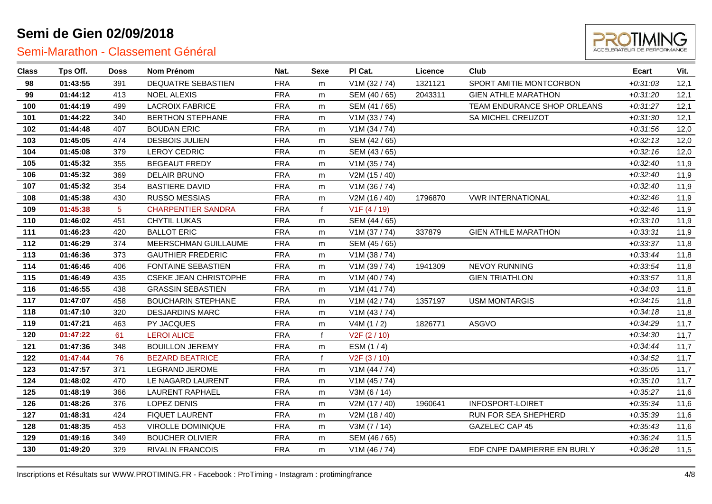

| <b>Class</b> | Tps Off. | <b>Doss</b> | Nom Prénom                   | Nat.       | Sexe | PI Cat.                   | Licence | Club                        | Ecart      | Vit. |
|--------------|----------|-------------|------------------------------|------------|------|---------------------------|---------|-----------------------------|------------|------|
| 98           | 01:43:55 | 391         | DEQUATRE SEBASTIEN           | <b>FRA</b> | m    | V1M (32 / 74)             | 1321121 | SPORT AMITIE MONTCORBON     | $+0.31.03$ | 12,1 |
| 99           | 01:44:12 | 413         | <b>NOEL ALEXIS</b>           | <b>FRA</b> | m    | SEM (40 / 65)             | 2043311 | <b>GIEN ATHLE MARATHON</b>  | $+0:31:20$ | 12,1 |
| 100          | 01:44:19 | 499         | <b>LACROIX FABRICE</b>       | <b>FRA</b> | m    | SEM (41 / 65)             |         | TEAM ENDURANCE SHOP ORLEANS | $+0:31:27$ | 12,1 |
| 101          | 01:44:22 | 340         | <b>BERTHON STEPHANE</b>      | <b>FRA</b> | m    | V1M (33 / 74)             |         | SA MICHEL CREUZOT           | $+0:31:30$ | 12,1 |
| 102          | 01:44:48 | 407         | <b>BOUDAN ERIC</b>           | <b>FRA</b> | m    | V1M (34 / 74)             |         |                             | $+0.31.56$ | 12,0 |
| 103          | 01:45:05 | 474         | <b>DESBOIS JULIEN</b>        | <b>FRA</b> | m    | SEM (42 / 65)             |         |                             | $+0.32:13$ | 12,0 |
| 104          | 01:45:08 | 379         | <b>LEROY CEDRIC</b>          | <b>FRA</b> | m    | SEM (43 / 65)             |         |                             | $+0.32:16$ | 12,0 |
| 105          | 01:45:32 | 355         | <b>BEGEAUT FREDY</b>         | <b>FRA</b> | m    | V1M (35 / 74)             |         |                             | $+0.32:40$ | 11,9 |
| 106          | 01:45:32 | 369         | <b>DELAIR BRUNO</b>          | <b>FRA</b> | m    | V2M (15 / 40)             |         |                             | $+0.32:40$ | 11,9 |
| 107          | 01:45:32 | 354         | <b>BASTIERE DAVID</b>        | <b>FRA</b> | m    | V1M (36 / 74)             |         |                             | $+0.32:40$ | 11,9 |
| 108          | 01:45:38 | 430         | <b>RUSSO MESSIAS</b>         | <b>FRA</b> | m    | V2M (16 / 40)             | 1796870 | <b>VWR INTERNATIONAL</b>    | $+0.32:46$ | 11,9 |
| 109          | 01:45:38 | 5           | <b>CHARPENTIER SANDRA</b>    | <b>FRA</b> |      | V1F(4/19)                 |         |                             | $+0.32:46$ | 11,9 |
| 110          | 01:46:02 | 451         | CHYTIL LUKAS                 | <b>FRA</b> | m    | SEM (44 / 65)             |         |                             | $+0:33:10$ | 11,9 |
| 111          | 01:46:23 | 420         | <b>BALLOT ERIC</b>           | <b>FRA</b> | m    | V1M (37 / 74)             | 337879  | <b>GIEN ATHLE MARATHON</b>  | $+0:33:31$ | 11,9 |
| 112          | 01:46:29 | 374         | MEERSCHMAN GUILLAUME         | <b>FRA</b> | m    | SEM (45 / 65)             |         |                             | $+0.33.37$ | 11,8 |
| 113          | 01:46:36 | 373         | <b>GAUTHIER FREDERIC</b>     | <b>FRA</b> | m    | V1M (38 / 74)             |         |                             | $+0.33:44$ | 11,8 |
| 114          | 01:46:46 | 406         | FONTAINE SEBASTIEN           | <b>FRA</b> | m    | V1M (39 / 74)             | 1941309 | NEVOY RUNNING               | $+0.33.54$ | 11,8 |
| 115          | 01:46:49 | 435         | <b>CSEKE JEAN CHRISTOPHE</b> | <b>FRA</b> | m    | V1M (40 / 74)             |         | <b>GIEN TRIATHLON</b>       | $+0.33.57$ | 11,8 |
| 116          | 01:46:55 | 438         | <b>GRASSIN SEBASTIEN</b>     | <b>FRA</b> | m    | V1M(41/74)                |         |                             | $+0.34.03$ | 11,8 |
| 117          | 01:47:07 | 458         | <b>BOUCHARIN STEPHANE</b>    | <b>FRA</b> | m    | V1M (42 / 74)             | 1357197 | <b>USM MONTARGIS</b>        | $+0.34:15$ | 11,8 |
| 118          | 01:47:10 | 320         | <b>DESJARDINS MARC</b>       | <b>FRA</b> | m    | V1M (43 / 74)             |         |                             | $+0:34:18$ | 11,8 |
| 119          | 01:47:21 | 463         | PY JACQUES                   | <b>FRA</b> | m    | V4M(1/2)                  | 1826771 | ASGVO                       | $+0.34.29$ | 11,7 |
| 120          | 01:47:22 | 61          | <b>LEROI ALICE</b>           | <b>FRA</b> |      | V <sub>2</sub> F (2 / 10) |         |                             | $+0.34.30$ | 11,7 |
| 121          | 01:47:36 | 348         | <b>BOUILLON JEREMY</b>       | <b>FRA</b> | m    | ESM (1/4)                 |         |                             | $+0.34:44$ | 11,7 |
| 122          | 01:47:44 | 76          | <b>BEZARD BEATRICE</b>       | <b>FRA</b> |      | V <sub>2</sub> F (3 / 10) |         |                             | $+0.34:52$ | 11,7 |
| 123          | 01:47:57 | 371         | LEGRAND JEROME               | <b>FRA</b> | m    | V1M (44 / 74)             |         |                             | $+0.35:05$ | 11,7 |
| 124          | 01:48:02 | 470         | LE NAGARD LAURENT            | <b>FRA</b> | m    | V1M (45 / 74)             |         |                             | $+0.35:10$ | 11,7 |
| 125          | 01:48:19 | 366         | <b>LAURENT RAPHAEL</b>       | <b>FRA</b> | m    | V3M (6 / 14)              |         |                             | $+0.35:27$ | 11,6 |
| 126          | 01:48:26 | 376         | <b>LOPEZ DENIS</b>           | <b>FRA</b> | m    | V2M (17 / 40)             | 1960641 | <b>INFOSPORT-LOIRET</b>     | $+0.35.34$ | 11,6 |
| 127          | 01:48:31 | 424         | <b>FIQUET LAURENT</b>        | <b>FRA</b> | m    | V2M (18 / 40)             |         | RUN FOR SEA SHEPHERD        | $+0.35.39$ | 11,6 |
| 128          | 01:48:35 | 453         | VIROLLE DOMINIQUE            | <b>FRA</b> | m    | V3M (7/14)                |         | GAZELEC CAP 45              | $+0.35:43$ | 11,6 |
| 129          | 01:49:16 | 349         | <b>BOUCHER OLIVIER</b>       | <b>FRA</b> | m    | SEM (46 / 65)             |         |                             | $+0.36:24$ | 11,5 |
| 130          | 01:49:20 | 329         | <b>RIVALIN FRANCOIS</b>      | <b>FRA</b> | m    | V1M (46 / 74)             |         | EDF CNPE DAMPIERRE EN BURLY | $+0.36:28$ | 11,5 |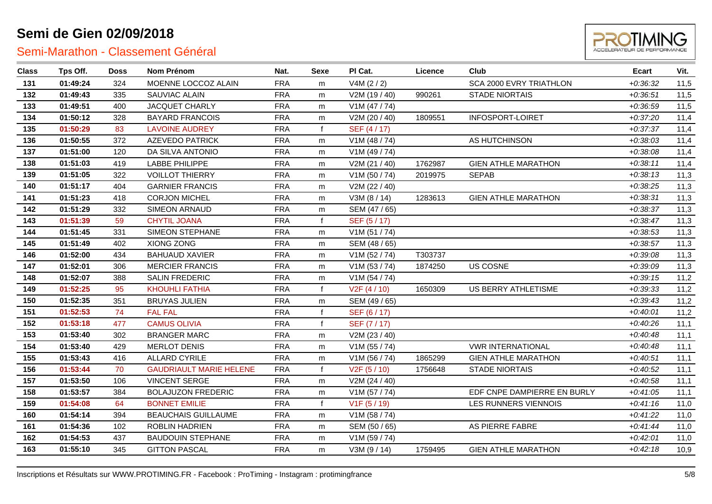

| <b>Class</b> | Tps Off. | <b>Doss</b> | Nom Prénom                     | Nat.       | <b>Sexe</b> | PI Cat.                   | Licence | Club                        | Ecart      | Vit. |
|--------------|----------|-------------|--------------------------------|------------|-------------|---------------------------|---------|-----------------------------|------------|------|
| 131          | 01:49:24 | 324         | MOENNE LOCCOZ ALAIN            | <b>FRA</b> | m           | V4M (2 / 2)               |         | SCA 2000 EVRY TRIATHLON     | $+0.36.32$ | 11,5 |
| 132          | 01:49:43 | 335         | SAUVIAC ALAIN                  | <b>FRA</b> | m           | V2M (19 / 40)             | 990261  | <b>STADE NIORTAIS</b>       | $+0.36:51$ | 11,5 |
| 133          | 01:49:51 | 400         | <b>JACQUET CHARLY</b>          | <b>FRA</b> | m           | V1M(47/74)                |         |                             | $+0.36:59$ | 11,5 |
| 134          | 01:50:12 | 328         | <b>BAYARD FRANCOIS</b>         | <b>FRA</b> | m           | V2M (20 / 40)             | 1809551 | <b>INFOSPORT-LOIRET</b>     | $+0:37:20$ | 11,4 |
| 135          | 01:50:29 | 83          | <b>LAVOINE AUDREY</b>          | <b>FRA</b> |             | SEF (4/17)                |         |                             | $+0:37:37$ | 11,4 |
| 136          | 01:50:55 | 372         | <b>AZEVEDO PATRICK</b>         | <b>FRA</b> | m           | V1M (48 / 74)             |         | AS HUTCHINSON               | $+0.38:03$ | 11,4 |
| 137          | 01:51:00 | 120         | DA SILVA ANTONIO               | <b>FRA</b> | m           | V1M (49 / 74)             |         |                             | $+0.38:08$ | 11,4 |
| 138          | 01:51:03 | 419         | LABBE PHILIPPE                 | <b>FRA</b> | m           | V2M (21 / 40)             | 1762987 | <b>GIEN ATHLE MARATHON</b>  | $+0.38:11$ | 11,4 |
| 139          | 01:51:05 | 322         | <b>VOILLOT THIERRY</b>         | <b>FRA</b> | m           | V1M (50 / 74)             | 2019975 | <b>SEPAB</b>                | $+0.38:13$ | 11,3 |
| 140          | 01:51:17 | 404         | <b>GARNIER FRANCIS</b>         | <b>FRA</b> | m           | V2M (22 / 40)             |         |                             | $+0.38:25$ | 11,3 |
| 141          | 01:51:23 | 418         | <b>CORJON MICHEL</b>           | <b>FRA</b> | m           | V3M (8 / 14)              | 1283613 | <b>GIEN ATHLE MARATHON</b>  | $+0.38.31$ | 11,3 |
| 142          | 01:51:29 | 332         | SIMEON ARNAUD                  | <b>FRA</b> | m           | SEM (47 / 65)             |         |                             | $+0.38.37$ | 11,3 |
| 143          | 01:51:39 | 59          | <b>CHYTIL JOANA</b>            | <b>FRA</b> | f           | SEF (5/17)                |         |                             | $+0.38:47$ | 11,3 |
| 144          | 01:51:45 | 331         | SIMEON STEPHANE                | <b>FRA</b> | m           | V1M(51/74)                |         |                             | $+0.38.53$ | 11,3 |
| 145          | 01:51:49 | 402         | XIONG ZONG                     | <b>FRA</b> | m           | SEM (48 / 65)             |         |                             | $+0.38:57$ | 11,3 |
| 146          | 01:52:00 | 434         | <b>BAHUAUD XAVIER</b>          | <b>FRA</b> | m           | V1M (52 / 74)             | T303737 |                             | $+0.39:08$ | 11,3 |
| 147          | 01:52:01 | 306         | <b>MERCIER FRANCIS</b>         | <b>FRA</b> | m           | V1M (53 / 74)             | 1874250 | <b>US COSNE</b>             | $+0.39:09$ | 11,3 |
| 148          | 01:52:07 | 388         | <b>SALIN FREDERIC</b>          | <b>FRA</b> | m           | V1M(54/74)                |         |                             | $+0.39:15$ | 11,2 |
| 149          | 01:52:25 | 95          | <b>KHOUHLI FATHIA</b>          | <b>FRA</b> |             | V2F(4/10)                 | 1650309 | US BERRY ATHLETISME         | $+0.39.33$ | 11,2 |
| 150          | 01:52:35 | 351         | <b>BRUYAS JULIEN</b>           | <b>FRA</b> | m           | SEM (49 / 65)             |         |                             | $+0.39:43$ | 11,2 |
| 151          | 01:52:53 | 74          | <b>FAL FAL</b>                 | <b>FRA</b> |             | SEF (6 / 17)              |         |                             | $+0:40:01$ | 11,2 |
| 152          | 01:53:18 | 477         | <b>CAMUS OLIVIA</b>            | <b>FRA</b> | f           | SEF (7/17)                |         |                             | $+0.40:26$ | 11,1 |
| 153          | 01:53:40 | 302         | <b>BRANGER MARC</b>            | <b>FRA</b> | m           | V2M (23 / 40)             |         |                             | $+0.40:48$ | 11,1 |
| 154          | 01:53:40 | 429         | <b>MERLOT DENIS</b>            | <b>FRA</b> | m           | V1M(55/74)                |         | <b>VWR INTERNATIONAL</b>    | $+0.40:48$ | 11,1 |
| 155          | 01:53:43 | 416         | <b>ALLARD CYRILE</b>           | <b>FRA</b> | m           | V1M (56 / 74)             | 1865299 | <b>GIEN ATHLE MARATHON</b>  | $+0:40:51$ | 11,1 |
| 156          | 01:53:44 | 70          | <b>GAUDRIAULT MARIE HELENE</b> | <b>FRA</b> |             | V <sub>2</sub> F (5 / 10) | 1756648 | <b>STADE NIORTAIS</b>       | $+0.40:52$ | 11,1 |
| 157          | 01:53:50 | 106         | <b>VINCENT SERGE</b>           | <b>FRA</b> | m           | V2M (24 / 40)             |         |                             | $+0.40.58$ | 11,1 |
| 158          | 01:53:57 | 384         | <b>BOLAJUZON FREDERIC</b>      | <b>FRA</b> | m           | V1M (57 / 74)             |         | EDF CNPE DAMPIERRE EN BURLY | $+0.41:05$ | 11,1 |
| 159          | 01:54:08 | 64          | <b>BONNET EMILIE</b>           | <b>FRA</b> | f           | V1F(5/19)                 |         | LES RUNNERS VIENNOIS        | $+0.41:16$ | 11,0 |
| 160          | 01:54:14 | 394         | <b>BEAUCHAIS GUILLAUME</b>     | <b>FRA</b> | m           | V1M (58 / 74)             |         |                             | $+0:41:22$ | 11,0 |
| 161          | 01:54:36 | 102         | <b>ROBLIN HADRIEN</b>          | <b>FRA</b> | m           | SEM (50 / 65)             |         | AS PIERRE FABRE             | $+0.41:44$ | 11,0 |
| 162          | 01:54:53 | 437         | <b>BAUDOUIN STEPHANE</b>       | <b>FRA</b> | m           | V1M (59 / 74)             |         |                             | $+0:42:01$ | 11,0 |
| 163          | 01:55:10 | 345         | <b>GITTON PASCAL</b>           | <b>FRA</b> | m           | V3M (9/14)                | 1759495 | <b>GIEN ATHLE MARATHON</b>  | $+0:42:18$ | 10,9 |
|              |          |             |                                |            |             |                           |         |                             |            |      |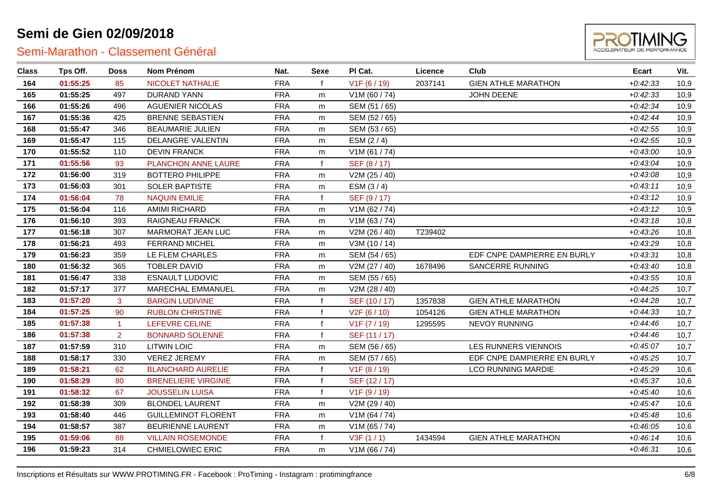

| <b>Class</b> | Tps Off. | <b>Doss</b>    | Nom Prénom                 | Nat.       | Sexe         | PI Cat.                   | Licence | Club                        | Ecart      | Vit. |
|--------------|----------|----------------|----------------------------|------------|--------------|---------------------------|---------|-----------------------------|------------|------|
| 164          | 01:55:25 | 85             | NICOLET NATHALIE           | <b>FRA</b> | f            | V <sub>1</sub> F (6 / 19) | 2037141 | <b>GIEN ATHLE MARATHON</b>  | $+0.42.33$ | 10,9 |
| 165          | 01:55:25 | 497            | <b>DURAND YANN</b>         | <b>FRA</b> | m            | V1M (60 / 74)             |         | <b>JOHN DEENE</b>           | $+0.42.33$ | 10,9 |
| 166          | 01:55:26 | 496            | <b>AGUENIER NICOLAS</b>    | <b>FRA</b> | m            | SEM (51 / 65)             |         |                             | $+0.42.34$ | 10,9 |
| 167          | 01:55:36 | 425            | <b>BRENNE SEBASTIEN</b>    | <b>FRA</b> | m            | SEM (52 / 65)             |         |                             | $+0:42:44$ | 10,9 |
| 168          | 01:55:47 | 346            | <b>BEAUMARIE JULIEN</b>    | <b>FRA</b> | m            | SEM (53 / 65)             |         |                             | $+0.42:55$ | 10,9 |
| 169          | 01:55:47 | 115            | DELANGRE VALENTIN          | <b>FRA</b> | m            | ESM $(2/4)$               |         |                             | $+0.42:55$ | 10,9 |
| 170          | 01:55:52 | 110            | <b>DEVIN FRANCK</b>        | <b>FRA</b> | m            | V1M(61/74)                |         |                             | $+0.43:00$ | 10,9 |
| 171          | 01:55:56 | 93             | PLANCHON ANNE LAURE        | <b>FRA</b> | $\mathbf{f}$ | SEF (8/17)                |         |                             | $+0.43.04$ | 10,9 |
| 172          | 01:56:00 | 319            | <b>BOTTERO PHILIPPE</b>    | <b>FRA</b> | m            | V2M (25 / 40)             |         |                             | $+0.43.08$ | 10,9 |
| 173          | 01:56:03 | 301            | SOLER BAPTISTE             | <b>FRA</b> | m            | ESM $(3/4)$               |         |                             | $+0.43:11$ | 10,9 |
| 174          | 01:56:04 | 78             | <b>NAQUIN EMILIE</b>       | <b>FRA</b> | $\mathbf{f}$ | SEF (9/17)                |         |                             | $+0:43:12$ | 10,9 |
| 175          | 01:56:04 | 116            | AMIMI RICHARD              | <b>FRA</b> | m            | V1M (62 / 74)             |         |                             | $+0:43:12$ | 10,9 |
| 176          | 01:56:10 | 393            | RAIGNEAU FRANCK            | <b>FRA</b> | m            | V1M(63/74)                |         |                             | $+0.43:18$ | 10,8 |
| 177          | 01:56:18 | 307            | MARMORAT JEAN LUC          | <b>FRA</b> | m            | V2M (26 / 40)             | T239402 |                             | $+0.43.26$ | 10,8 |
| 178          | 01:56:21 | 493            | <b>FERRAND MICHEL</b>      | <b>FRA</b> | m            | V3M (10 / 14)             |         |                             | $+0.43.29$ | 10,8 |
| 179          | 01:56:23 | 359            | LE FLEM CHARLES            | <b>FRA</b> | m            | SEM (54 / 65)             |         | EDF CNPE DAMPIERRE EN BURLY | $+0:43:31$ | 10,8 |
| 180          | 01:56:32 | 365            | <b>TOBLER DAVID</b>        | <b>FRA</b> | m            | V2M (27 / 40)             | 1678496 | SANCERRE RUNNING            | $+0.43:40$ | 10,8 |
| 181          | 01:56:47 | 338            | ESNAULT LUDOVIC            | <b>FRA</b> | m            | SEM (55 / 65)             |         |                             | $+0.43.55$ | 10,8 |
| 182          | 01:57:17 | 377            | <b>MARECHAL EMMANUEL</b>   | <b>FRA</b> | m            | V2M (28 / 40)             |         |                             | $+0:44:25$ | 10,7 |
| 183          | 01:57:20 | 3              | <b>BARGIN LUDIVINE</b>     | <b>FRA</b> | $\mathbf f$  | SEF (10 / 17)             | 1357838 | <b>GIEN ATHLE MARATHON</b>  | $+0.44.28$ | 10,7 |
| 184          | 01:57:25 | 90             | <b>RUBLON CHRISTINE</b>    | <b>FRA</b> | $\mathbf{f}$ | V <sub>2</sub> F (6 / 10) | 1054126 | <b>GIEN ATHLE MARATHON</b>  | $+0.44.33$ | 10,7 |
| 185          | 01:57:38 | $\mathbf{1}$   | LEFEVRE CELINE             | <b>FRA</b> | $\mathsf{f}$ | V1F (7 / 19)              | 1295595 | NEVOY RUNNING               | $+0.44:46$ | 10,7 |
| 186          | 01:57:38 | $\overline{2}$ | <b>BONNARD SOLENNE</b>     | <b>FRA</b> | f            | SEF (11 / 17)             |         |                             | $+0:44:46$ | 10,7 |
| 187          | 01:57:59 | 310            | <b>LITWIN LOIC</b>         | <b>FRA</b> | m            | SEM (56 / 65)             |         | <b>LES RUNNERS VIENNOIS</b> | $+0.45:07$ | 10,7 |
| 188          | 01:58:17 | 330            | <b>VEREZ JEREMY</b>        | <b>FRA</b> | m            | SEM (57 / 65)             |         | EDF CNPE DAMPIERRE EN BURLY | $+0.45.25$ | 10,7 |
| 189          | 01:58:21 | 62             | <b>BLANCHARD AURELIE</b>   | <b>FRA</b> | f            | V <sub>1</sub> F (8 / 19) |         | <b>LCO RUNNING MARDIE</b>   | $+0.45.29$ | 10,6 |
| 190          | 01:58:29 | 80             | <b>BRENELIERE VIRGINIE</b> | <b>FRA</b> | $\mathbf f$  | SEF (12/17)               |         |                             | $+0.45.37$ | 10,6 |
| 191          | 01:58:32 | 67             | <b>JOUSSELIN LUISA</b>     | <b>FRA</b> | $\mathbf{f}$ | V1F(9/19)                 |         |                             | $+0:45:40$ | 10,6 |
| 192          | 01:58:39 | 309            | <b>BLONDEL LAURENT</b>     | <b>FRA</b> | m            | V2M (29 / 40)             |         |                             | $+0.45:47$ | 10,6 |
| 193          | 01:58:40 | 446            | <b>GUILLEMINOT FLORENT</b> | <b>FRA</b> | m            | V1M (64 / 74)             |         |                             | $+0.45:48$ | 10,6 |
| 194          | 01:58:57 | 387            | BEURIENNE LAURENT          | <b>FRA</b> | m            | V1M(65/74)                |         |                             | $+0.46:05$ | 10,6 |
| 195          | 01:59:06 | 88             | <b>VILLAIN ROSEMONDE</b>   | <b>FRA</b> | $\mathbf{f}$ | V3F(1/1)                  | 1434594 | <b>GIEN ATHLE MARATHON</b>  | $+0.46:14$ | 10,6 |
| 196          | 01:59:23 | 314            | <b>CHMIELOWIEC ERIC</b>    | <b>FRA</b> | m            | V1M(66/74)                |         |                             | $+0.46.31$ | 10,6 |
|              |          |                |                            |            |              |                           |         |                             |            |      |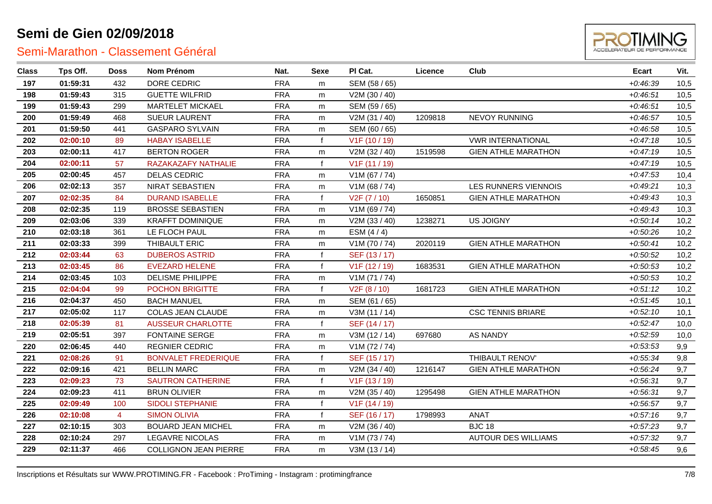

| <b>Class</b> | Tps Off. | <b>Doss</b>    | Nom Prénom                   | Nat.       | Sexe         | PI Cat.       | Licence | Club                       | Ecart      | Vit. |
|--------------|----------|----------------|------------------------------|------------|--------------|---------------|---------|----------------------------|------------|------|
| 197          | 01:59:31 | 432            | DORE CEDRIC                  | <b>FRA</b> | m            | SEM (58 / 65) |         |                            | $+0.46.39$ | 10,5 |
| 198          | 01:59:43 | 315            | <b>GUETTE WILFRID</b>        | <b>FRA</b> | m            | V2M (30 / 40) |         |                            | $+0.46:51$ | 10,5 |
| 199          | 01:59:43 | 299            | MARTELET MICKAEL             | <b>FRA</b> | m            | SEM (59 / 65) |         |                            | $+0.46:51$ | 10,5 |
| 200          | 01:59:49 | 468            | <b>SUEUR LAURENT</b>         | <b>FRA</b> | m            | V2M (31 / 40) | 1209818 | <b>NEVOY RUNNING</b>       | $+0.46:57$ | 10,5 |
| 201          | 01:59:50 | 441            | <b>GASPARO SYLVAIN</b>       | <b>FRA</b> | m            | SEM (60 / 65) |         |                            | $+0.46.58$ | 10,5 |
| 202          | 02:00:10 | 89             | <b>HABAY ISABELLE</b>        | <b>FRA</b> | f            | V1F (10 / 19) |         | <b>VWR INTERNATIONAL</b>   | $+0.47:18$ | 10,5 |
| 203          | 02:00:11 | 417            | <b>BERTON ROGER</b>          | <b>FRA</b> | m            | V2M (32 / 40) | 1519598 | <b>GIEN ATHLE MARATHON</b> | $+0.47:19$ | 10,5 |
| 204          | 02:00:11 | 57             | RAZAKAZAFY NATHALIE          | <b>FRA</b> | $\mathbf{f}$ | V1F (11 / 19) |         |                            | $+0:47:19$ | 10,5 |
| 205          | 02:00:45 | 457            | <b>DELAS CEDRIC</b>          | <b>FRA</b> | m            | V1M (67 / 74) |         |                            | $+0.47.53$ | 10,4 |
| 206          | 02:02:13 | 357            | NIRAT SEBASTIEN              | <b>FRA</b> | m            | V1M (68 / 74) |         | LES RUNNERS VIENNOIS       | $+0.49:21$ | 10,3 |
| 207          | 02:02:35 | 84             | <b>DURAND ISABELLE</b>       | <b>FRA</b> | $\mathbf{f}$ | V2F (7 / 10)  | 1650851 | <b>GIEN ATHLE MARATHON</b> | $+0.49:43$ | 10,3 |
| 208          | 02:02:35 | 119            | <b>BROSSE SEBASTIEN</b>      | <b>FRA</b> | m            | V1M (69 / 74) |         |                            | $+0.49:43$ | 10,3 |
| 209          | 02:03:06 | 339            | <b>KRAFFT DOMINIQUE</b>      | <b>FRA</b> | m            | V2M (33 / 40) | 1238271 | <b>US JOIGNY</b>           | $+0.50:14$ | 10,2 |
| 210          | 02:03:18 | 361            | LE FLOCH PAUL                | <b>FRA</b> | m            | ESM $(4/4)$   |         |                            | $+0.50:26$ | 10,2 |
| 211          | 02:03:33 | 399            | THIBAULT ERIC                | <b>FRA</b> | m            | V1M (70 / 74) | 2020119 | <b>GIEN ATHLE MARATHON</b> | $+0.50:41$ | 10,2 |
| 212          | 02:03:44 | 63             | <b>DUBEROS ASTRID</b>        | <b>FRA</b> |              | SEF (13/17)   |         |                            | $+0.50.52$ | 10,2 |
| 213          | 02:03:45 | 86             | <b>EVEZARD HELENE</b>        | <b>FRA</b> |              | V1F (12 / 19) | 1683531 | <b>GIEN ATHLE MARATHON</b> | $+0.50.53$ | 10,2 |
| 214          | 02:03:45 | 103            | <b>DELISME PHILIPPE</b>      | <b>FRA</b> | m            | V1M (71 / 74) |         |                            | $+0.50.53$ | 10,2 |
| 215          | 02:04:04 | 99             | <b>POCHON BRIGITTE</b>       | <b>FRA</b> |              | V2F(8/10)     | 1681723 | <b>GIEN ATHLE MARATHON</b> | $+0.51:12$ | 10,2 |
| 216          | 02:04:37 | 450            | <b>BACH MANUEL</b>           | <b>FRA</b> | m            | SEM (61 / 65) |         |                            | $+0.51:45$ | 10,1 |
| 217          | 02:05:02 | 117            | <b>COLAS JEAN CLAUDE</b>     | <b>FRA</b> | m            | V3M (11 / 14) |         | <b>CSC TENNIS BRIARE</b>   | $+0.52:10$ | 10,1 |
| 218          | 02:05:39 | 81             | <b>AUSSEUR CHARLOTTE</b>     | <b>FRA</b> |              | SEF (14 / 17) |         |                            | $+0.52:47$ | 10,0 |
| 219          | 02:05:51 | 397            | <b>FONTAINE SERGE</b>        | <b>FRA</b> | m            | V3M (12 / 14) | 697680  | <b>AS NANDY</b>            | $+0.52.59$ | 10,0 |
| 220          | 02:06:45 | 440            | <b>REGNIER CEDRIC</b>        | <b>FRA</b> | m            | V1M (72 / 74) |         |                            | $+0.53.53$ | 9,9  |
| 221          | 02:08:26 | 91             | <b>BONVALET FREDERIQUE</b>   | <b>FRA</b> |              | SEF (15 / 17) |         | THIBAULT RENOV'            | $+0.55.34$ | 9,8  |
| 222          | 02:09:16 | 421            | <b>BELLIN MARC</b>           | <b>FRA</b> | m            | V2M (34 / 40) | 1216147 | <b>GIEN ATHLE MARATHON</b> | $+0.56:24$ | 9,7  |
| 223          | 02:09:23 | 73             | <b>SAUTRON CATHERINE</b>     | <b>FRA</b> | $\mathbf f$  | V1F (13 / 19) |         |                            | $+0.56.31$ | 9,7  |
| 224          | 02:09:23 | 411            | <b>BRUN OLIVIER</b>          | <b>FRA</b> | m            | V2M (35 / 40) | 1295498 | <b>GIEN ATHLE MARATHON</b> | $+0.56.31$ | 9,7  |
| 225          | 02:09:49 | 100            | <b>SIDOLI STEPHANIE</b>      | <b>FRA</b> |              | V1F (14 / 19) |         |                            | $+0.56:57$ | 9,7  |
| 226          | 02:10:08 | $\overline{4}$ | <b>SIMON OLIVIA</b>          | <b>FRA</b> | $\mathbf{f}$ | SEF (16 / 17) | 1798993 | ANAT                       | $+0.57:16$ | 9,7  |
| 227          | 02:10:15 | 303            | <b>BOUARD JEAN MICHEL</b>    | <b>FRA</b> | m            | V2M (36 / 40) |         | <b>BJC 18</b>              | $+0.57.23$ | 9,7  |
| 228          | 02:10:24 | 297            | <b>LEGAVRE NICOLAS</b>       | <b>FRA</b> | m            | V1M (73 / 74) |         | <b>AUTOUR DES WILLIAMS</b> | $+0.57.32$ | 9,7  |
| 229          | 02:11:37 | 466            | <b>COLLIGNON JEAN PIERRE</b> | <b>FRA</b> | m            | V3M (13 / 14) |         |                            | $+0.58:45$ | 9,6  |
|              |          |                |                              |            |              |               |         |                            |            |      |